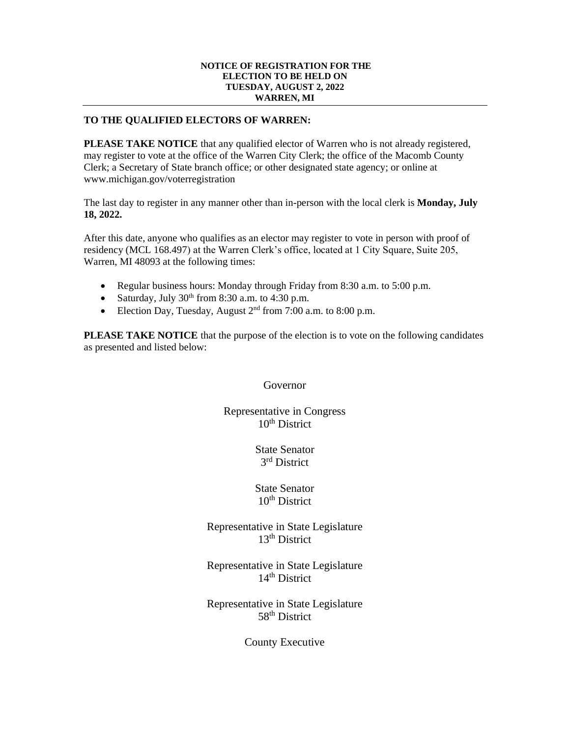## **NOTICE OF REGISTRATION FOR THE ELECTION TO BE HELD ON TUESDAY, AUGUST 2, 2022 WARREN, MI**

## **TO THE QUALIFIED ELECTORS OF WARREN:**

**PLEASE TAKE NOTICE** that any qualified elector of Warren who is not already registered, may register to vote at the office of the Warren City Clerk; the office of the Macomb County Clerk; a Secretary of State branch office; or other designated state agency; or online at www.michigan.gov/voterregistration

The last day to register in any manner other than in-person with the local clerk is **Monday, July 18, 2022.**

After this date, anyone who qualifies as an elector may register to vote in person with proof of residency (MCL 168.497) at the Warren Clerk's office, located at 1 City Square, Suite 205, Warren, MI 48093 at the following times:

- Regular business hours: Monday through Friday from 8:30 a.m. to 5:00 p.m.
- Saturday, July  $30<sup>th</sup>$  from 8:30 a.m. to 4:30 p.m.
- Election Day, Tuesday, August  $2<sup>nd</sup>$  from 7:00 a.m. to 8:00 p.m.

**PLEASE TAKE NOTICE** that the purpose of the election is to vote on the following candidates as presented and listed below:

Governor

Representative in Congress  $10<sup>th</sup>$  District

> State Senator 3 rd District

> State Senator  $10<sup>th</sup>$  District

Representative in State Legislature 13<sup>th</sup> District

Representative in State Legislature 14<sup>th</sup> District

Representative in State Legislature 58<sup>th</sup> District

County Executive